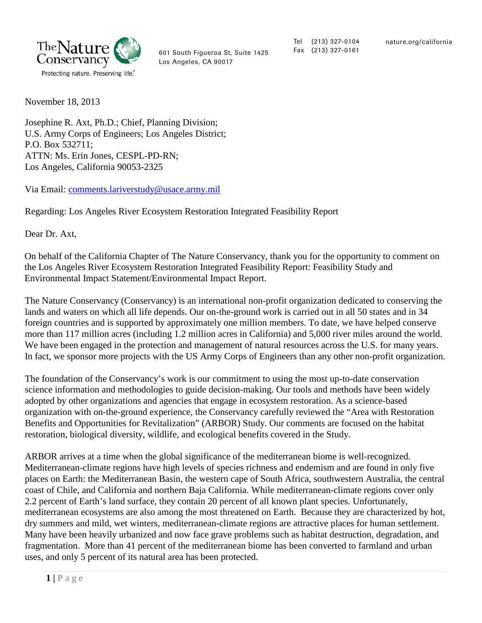

601 South Figueroa St, Suite 1425 Los Angeles, CA 90017

Tel (213) 327-0104 Fax (213) 327-0161

November 18, 2013

Josephine R. Axt, Ph.D.; Chief, Planning Division; U.S. Army Corps of Engineers; Los Angeles District; P.O. Box 532711; ATTN: Ms. Erin Jones, CESPL-PD-RN; Los Angeles, California 90053-2325

Via Email: [comments.lariverstudy@usace.army.mil](mailto:comments.lariverstudy@usace.army.mil)

Regarding: Los Angeles River Ecosystem Restoration Integrated Feasibility Report

Dear Dr. Axt,

On behalf of the California Chapter of The Nature Conservancy, thank you for the opportunity to comment on the Los Angeles River Ecosystem Restoration Integrated Feasibility Report: Feasibility Study and Environmental Impact Statement/Environmental Impact Report.

The Nature Conservancy (Conservancy) is an international non-profit organization dedicated to conserving the lands and waters on which all life depends. Our on-the-ground work is carried out in all 50 states and in 34 foreign countries and is supported by approximately one million members. To date, we have helped conserve more than 117 million acres (including 1.2 million acres in California) and 5,000 river miles around the world. We have been engaged in the protection and management of natural resources across the U.S. for many years. In fact, we sponsor more projects with the US Army Corps of Engineers than any other non-profit organization.

The foundation of the Conservancy's work is our commitment to using the most up-to-date conservation science information and methodologies to guide decision-making. Our tools and methods have been widely adopted by other organizations and agencies that engage in ecosystem restoration. As a science-based organization with on-the-ground experience, the Conservancy carefully reviewed the "Area with Restoration Benefits and Opportunities for Revitalization" (ARBOR) Study. Our comments are focused on the habitat restoration, biological diversity, wildlife, and ecological benefits covered in the Study.

ARBOR arrives at a time when the global significance of the mediterranean biome is well-recognized. Mediterranean-climate regions have high levels of species richness and endemism and are found in only five places on Earth: the Mediterranean Basin, the western cape of South Africa, southwestern Australia, the central coast of Chile, and California and northern Baja California. While mediterranean-climate regions cover only 2.2 percent of Earth's land surface, they contain 20 percent of all known plant species. Unfortunately, mediterranean ecosystems are also among the most threatened on Earth. Because they are characterized by hot, dry summers and mild, wet winters, mediterranean-climate regions are attractive places for human settlement. Many have been heavily urbanized and now face grave problems such as habitat destruction, degradation, and fragmentation. More than 41 percent of the mediterranean biome has been converted to farmland and urban uses, and only 5 percent of its natural area has been protected.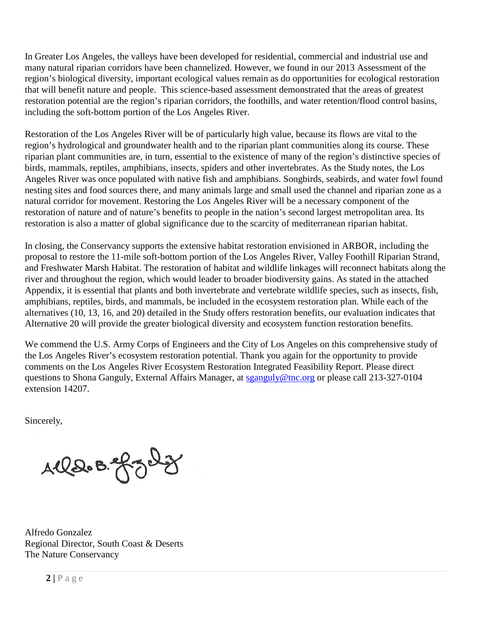In Greater Los Angeles, the valleys have been developed for residential, commercial and industrial use and many natural riparian corridors have been channelized. However, we found in our 2013 Assessment of the region's biological diversity, important ecological values remain as do opportunities for ecological restoration that will benefit nature and people. This science-based assessment demonstrated that the areas of greatest restoration potential are the region's riparian corridors, the foothills, and water retention/flood control basins, including the soft-bottom portion of the Los Angeles River.

Restoration of the Los Angeles River will be of particularly high value, because its flows are vital to the region's hydrological and groundwater health and to the riparian plant communities along its course. These riparian plant communities are, in turn, essential to the existence of many of the region's distinctive species of birds, mammals, reptiles, amphibians, insects, spiders and other invertebrates. As the Study notes, the Los Angeles River was once populated with native fish and amphibians. Songbirds, seabirds, and water fowl found nesting sites and food sources there, and many animals large and small used the channel and riparian zone as a natural corridor for movement. Restoring the Los Angeles River will be a necessary component of the restoration of nature and of nature's benefits to people in the nation's second largest metropolitan area. Its restoration is also a matter of global significance due to the scarcity of mediterranean riparian habitat.

In closing, the Conservancy supports the extensive habitat restoration envisioned in ARBOR, including the proposal to restore the 11-mile soft-bottom portion of the Los Angeles River, Valley Foothill Riparian Strand, and Freshwater Marsh Habitat. The restoration of habitat and wildlife linkages will reconnect habitats along the river and throughout the region, which would leader to broader biodiversity gains. As stated in the attached Appendix, it is essential that plants and both invertebrate and vertebrate wildlife species, such as insects, fish, amphibians, reptiles, birds, and mammals, be included in the ecosystem restoration plan. While each of the alternatives (10, 13, 16, and 20) detailed in the Study offers restoration benefits, our evaluation indicates that Alternative 20 will provide the greater biological diversity and ecosystem function restoration benefits.

We commend the U.S. Army Corps of Engineers and the City of Los Angeles on this comprehensive study of the Los Angeles River's ecosystem restoration potential. Thank you again for the opportunity to provide comments on the Los Angeles River Ecosystem Restoration Integrated Feasibility Report. Please direct questions to Shona Ganguly, External Affairs Manager, at [sganguly@tnc.org](mailto:sganguly@tnc.org) or please call 213-327-0104 extension 14207.

Sincerely,

Aller B. grad

Alfredo Gonzalez Regional Director, South Coast & Deserts The Nature Conservancy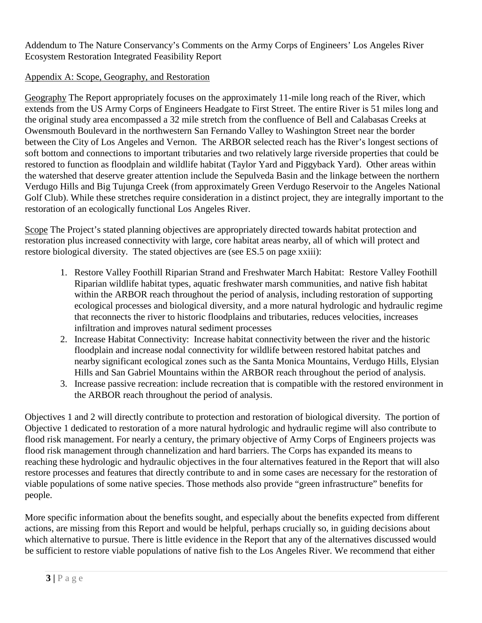Addendum to The Nature Conservancy's Comments on the Army Corps of Engineers' Los Angeles River Ecosystem Restoration Integrated Feasibility Report

## Appendix A: Scope, Geography, and Restoration

Geography The Report appropriately focuses on the approximately 11-mile long reach of the River, which extends from the US Army Corps of Engineers Headgate to First Street. The entire River is 51 miles long and the original study area encompassed a 32 mile stretch from the confluence of Bell and Calabasas Creeks at Owensmouth Boulevard in the northwestern San Fernando Valley to Washington Street near the border between the City of Los Angeles and Vernon. The ARBOR selected reach has the River's longest sections of soft bottom and connections to important tributaries and two relatively large riverside properties that could be restored to function as floodplain and wildlife habitat (Taylor Yard and Piggyback Yard). Other areas within the watershed that deserve greater attention include the Sepulveda Basin and the linkage between the northern Verdugo Hills and Big Tujunga Creek (from approximately Green Verdugo Reservoir to the Angeles National Golf Club). While these stretches require consideration in a distinct project, they are integrally important to the restoration of an ecologically functional Los Angeles River.

Scope The Project's stated planning objectives are appropriately directed towards habitat protection and restoration plus increased connectivity with large, core habitat areas nearby, all of which will protect and restore biological diversity. The stated objectives are (see ES.5 on page xxiii):

- 1. Restore Valley Foothill Riparian Strand and Freshwater March Habitat: Restore Valley Foothill Riparian wildlife habitat types, aquatic freshwater marsh communities, and native fish habitat within the ARBOR reach throughout the period of analysis, including restoration of supporting ecological processes and biological diversity, and a more natural hydrologic and hydraulic regime that reconnects the river to historic floodplains and tributaries, reduces velocities, increases infiltration and improves natural sediment processes
- 2. Increase Habitat Connectivity: Increase habitat connectivity between the river and the historic floodplain and increase nodal connectivity for wildlife between restored habitat patches and nearby significant ecological zones such as the Santa Monica Mountains, Verdugo Hills, Elysian Hills and San Gabriel Mountains within the ARBOR reach throughout the period of analysis.
- 3. Increase passive recreation: include recreation that is compatible with the restored environment in the ARBOR reach throughout the period of analysis.

Objectives 1 and 2 will directly contribute to protection and restoration of biological diversity. The portion of Objective 1 dedicated to restoration of a more natural hydrologic and hydraulic regime will also contribute to flood risk management. For nearly a century, the primary objective of Army Corps of Engineers projects was flood risk management through channelization and hard barriers. The Corps has expanded its means to reaching these hydrologic and hydraulic objectives in the four alternatives featured in the Report that will also restore processes and features that directly contribute to and in some cases are necessary for the restoration of viable populations of some native species. Those methods also provide "green infrastructure" benefits for people.

More specific information about the benefits sought, and especially about the benefits expected from different actions, are missing from this Report and would be helpful, perhaps crucially so, in guiding decisions about which alternative to pursue. There is little evidence in the Report that any of the alternatives discussed would be sufficient to restore viable populations of native fish to the Los Angeles River. We recommend that either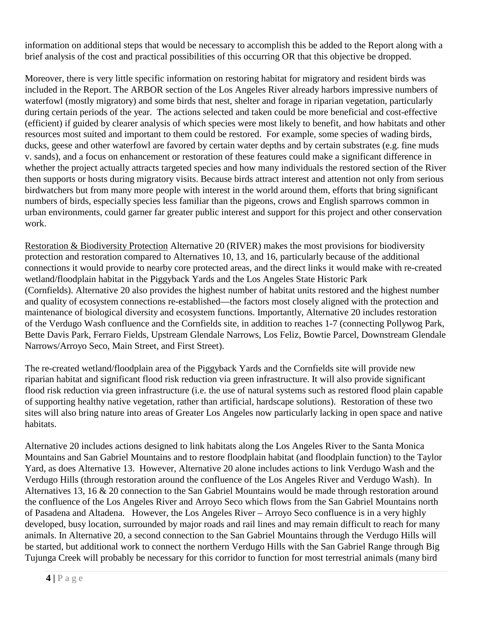information on additional steps that would be necessary to accomplish this be added to the Report along with a brief analysis of the cost and practical possibilities of this occurring OR that this objective be dropped.

Moreover, there is very little specific information on restoring habitat for migratory and resident birds was included in the Report. The ARBOR section of the Los Angeles River already harbors impressive numbers of waterfowl (mostly migratory) and some birds that nest, shelter and forage in riparian vegetation, particularly during certain periods of the year. The actions selected and taken could be more beneficial and cost-effective (efficient) if guided by clearer analysis of which species were most likely to benefit, and how habitats and other resources most suited and important to them could be restored. For example, some species of wading birds, ducks, geese and other waterfowl are favored by certain water depths and by certain substrates (e.g. fine muds v. sands), and a focus on enhancement or restoration of these features could make a significant difference in whether the project actually attracts targeted species and how many individuals the restored section of the River then supports or hosts during migratory visits. Because birds attract interest and attention not only from serious birdwatchers but from many more people with interest in the world around them, efforts that bring significant numbers of birds, especially species less familiar than the pigeons, crows and English sparrows common in urban environments, could garner far greater public interest and support for this project and other conservation work.

Restoration & Biodiversity Protection Alternative 20 (RIVER) makes the most provisions for biodiversity protection and restoration compared to Alternatives 10, 13, and 16, particularly because of the additional connections it would provide to nearby core protected areas, and the direct links it would make with re-created wetland/floodplain habitat in the Piggyback Yards and the Los Angeles State Historic Park (Cornfields). Alternative 20 also provides the highest number of habitat units restored and the highest number and quality of ecosystem connections re-established—the factors most closely aligned with the protection and maintenance of biological diversity and ecosystem functions. Importantly, Alternative 20 includes restoration of the Verdugo Wash confluence and the Cornfields site, in addition to reaches 1-7 (connecting Pollywog Park, Bette Davis Park, Ferraro Fields, Upstream Glendale Narrows, Los Feliz, Bowtie Parcel, Downstream Glendale Narrows/Arroyo Seco, Main Street, and First Street).

The re-created wetland/floodplain area of the Piggyback Yards and the Cornfields site will provide new riparian habitat and significant flood risk reduction via green infrastructure. It will also provide significant flood risk reduction via green infrastructure (i.e. the use of natural systems such as restored flood plain capable of supporting healthy native vegetation, rather than artificial, hardscape solutions). Restoration of these two sites will also bring nature into areas of Greater Los Angeles now particularly lacking in open space and native habitats.

Alternative 20 includes actions designed to link habitats along the Los Angeles River to the Santa Monica Mountains and San Gabriel Mountains and to restore floodplain habitat (and floodplain function) to the Taylor Yard, as does Alternative 13. However, Alternative 20 alone includes actions to link Verdugo Wash and the Verdugo Hills (through restoration around the confluence of the Los Angeles River and Verdugo Wash). In Alternatives 13, 16 & 20 connection to the San Gabriel Mountains would be made through restoration around the confluence of the Los Angeles River and Arroyo Seco which flows from the San Gabriel Mountains north of Pasadena and Altadena. However, the Los Angeles River – Arroyo Seco confluence is in a very highly developed, busy location, surrounded by major roads and rail lines and may remain difficult to reach for many animals. In Alternative 20, a second connection to the San Gabriel Mountains through the Verdugo Hills will be started, but additional work to connect the northern Verdugo Hills with the San Gabriel Range through Big Tujunga Creek will probably be necessary for this corridor to function for most terrestrial animals (many bird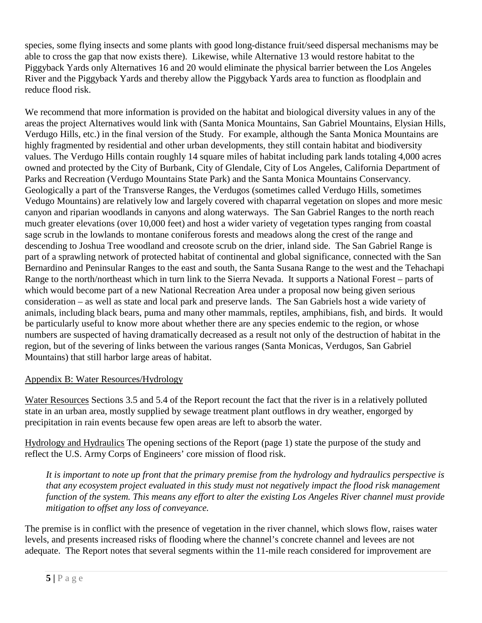species, some flying insects and some plants with good long-distance fruit/seed dispersal mechanisms may be able to cross the gap that now exists there). Likewise, while Alternative 13 would restore habitat to the Piggyback Yards only Alternatives 16 and 20 would eliminate the physical barrier between the Los Angeles River and the Piggyback Yards and thereby allow the Piggyback Yards area to function as floodplain and reduce flood risk.

We recommend that more information is provided on the habitat and biological diversity values in any of the areas the project Alternatives would link with (Santa Monica Mountains, San Gabriel Mountains, Elysian Hills, Verdugo Hills, etc.) in the final version of the Study. For example, although the Santa Monica Mountains are highly fragmented by residential and other urban developments, they still contain habitat and biodiversity values. The Verdugo Hills contain roughly 14 square miles of habitat including park lands totaling 4,000 acres owned and protected by the City of Burbank, City of Glendale, City of Los Angeles, California Department of Parks and Recreation (Verdugo Mountains State Park) and the Santa Monica Mountains Conservancy. Geologically a part of the Transverse Ranges, the Verdugos (sometimes called Verdugo Hills, sometimes Vedugo Mountains) are relatively low and largely covered with chaparral vegetation on slopes and more mesic canyon and riparian woodlands in canyons and along waterways. The San Gabriel Ranges to the north reach much greater elevations (over 10,000 feet) and host a wider variety of vegetation types ranging from coastal sage scrub in the lowlands to montane coniferous forests and meadows along the crest of the range and descending to Joshua Tree woodland and creosote scrub on the drier, inland side. The San Gabriel Range is part of a sprawling network of protected habitat of continental and global significance, connected with the San Bernardino and Peninsular Ranges to the east and south, the Santa Susana Range to the west and the Tehachapi Range to the north/northeast which in turn link to the Sierra Nevada. It supports a National Forest – parts of which would become part of a new National Recreation Area under a proposal now being given serious consideration – as well as state and local park and preserve lands. The San Gabriels host a wide variety of animals, including black bears, puma and many other mammals, reptiles, amphibians, fish, and birds. It would be particularly useful to know more about whether there are any species endemic to the region, or whose numbers are suspected of having dramatically decreased as a result not only of the destruction of habitat in the region, but of the severing of links between the various ranges (Santa Monicas, Verdugos, San Gabriel Mountains) that still harbor large areas of habitat.

## Appendix B: Water Resources/Hydrology

Water Resources Sections 3.5 and 5.4 of the Report recount the fact that the river is in a relatively polluted state in an urban area, mostly supplied by sewage treatment plant outflows in dry weather, engorged by precipitation in rain events because few open areas are left to absorb the water.

Hydrology and Hydraulics The opening sections of the Report (page 1) state the purpose of the study and reflect the U.S. Army Corps of Engineers' core mission of flood risk.

*It is important to note up front that the primary premise from the hydrology and hydraulics perspective is that any ecosystem project evaluated in this study must not negatively impact the flood risk management function of the system. This means any effort to alter the existing Los Angeles River channel must provide mitigation to offset any loss of conveyance.* 

The premise is in conflict with the presence of vegetation in the river channel, which slows flow, raises water levels, and presents increased risks of flooding where the channel's concrete channel and levees are not adequate. The Report notes that several segments within the 11-mile reach considered for improvement are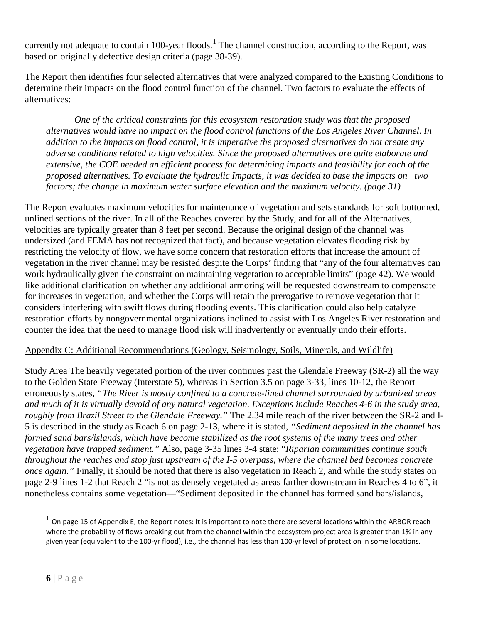currently not adequate to contain [1](#page-5-0)00-year floods.<sup>1</sup> The channel construction, according to the Report, was based on originally defective design criteria (page 38-39).

The Report then identifies four selected alternatives that were analyzed compared to the Existing Conditions to determine their impacts on the flood control function of the channel. Two factors to evaluate the effects of alternatives:

*One of the critical constraints for this ecosystem restoration study was that the proposed alternatives would have no impact on the flood control functions of the Los Angeles River Channel. In addition to the impacts on flood control, it is imperative the proposed alternatives do not create any adverse conditions related to high velocities. Since the proposed alternatives are quite elaborate and extensive, the COE needed an efficient process for determining impacts and feasibility for each of the proposed alternatives. To evaluate the hydraulic Impacts, it was decided to base the impacts on two factors; the change in maximum water surface elevation and the maximum velocity. (page 31)*

The Report evaluates maximum velocities for maintenance of vegetation and sets standards for soft bottomed, unlined sections of the river. In all of the Reaches covered by the Study, and for all of the Alternatives, velocities are typically greater than 8 feet per second. Because the original design of the channel was undersized (and FEMA has not recognized that fact), and because vegetation elevates flooding risk by restricting the velocity of flow, we have some concern that restoration efforts that increase the amount of vegetation in the river channel may be resisted despite the Corps' finding that "any of the four alternatives can work hydraulically given the constraint on maintaining vegetation to acceptable limits" (page 42). We would like additional clarification on whether any additional armoring will be requested downstream to compensate for increases in vegetation, and whether the Corps will retain the prerogative to remove vegetation that it considers interfering with swift flows during flooding events. This clarification could also help catalyze restoration efforts by nongovernmental organizations inclined to assist with Los Angeles River restoration and counter the idea that the need to manage flood risk will inadvertently or eventually undo their efforts.

## Appendix C: Additional Recommendations (Geology, Seismology, Soils, Minerals, and Wildlife)

Study Area The heavily vegetated portion of the river continues past the Glendale Freeway (SR-2) all the way to the Golden State Freeway (Interstate 5), whereas in Section 3.5 on page 3-33, lines 10-12, the Report erroneously states, *"The River is mostly confined to a concrete-lined channel surrounded by urbanized areas and much of it is virtually devoid of any natural vegetation. Exceptions include Reaches 4-6 in the study area, roughly from Brazil Street to the Glendale Freeway."* The 2.34 mile reach of the river between the SR-2 and I-5 is described in the study as Reach 6 on page 2-13, where it is stated, *"Sediment deposited in the channel has formed sand bars/islands, which have become stabilized as the root systems of the many trees and other vegetation have trapped sediment."* Also, page 3-35 lines 3-4 state: "*Riparian communities continue south throughout the reaches and stop just upstream of the I-5 overpass, where the channel bed becomes concrete once again."* Finally, it should be noted that there is also vegetation in Reach 2, and while the study states on page 2-9 lines 1-2 that Reach 2 "is not as densely vegetated as areas farther downstream in Reaches 4 to 6", it nonetheless contains some vegetation—"Sediment deposited in the channel has formed sand bars/islands,

<span id="page-5-0"></span> $^1$  On page 15 of Appendix E, the Report notes: It is important to note there are several locations within the ARBOR reach where the probability of flows breaking out from the channel within the ecosystem project area is greater than 1% in any given year (equivalent to the 100-yr flood), i.e., the channel has less than 100-yr level of protection in some locations.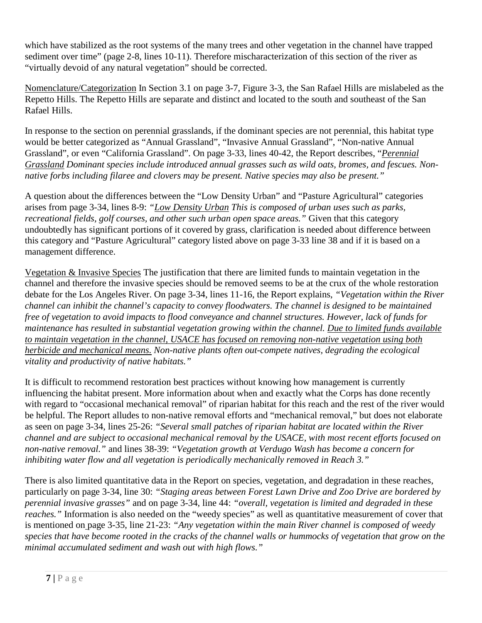which have stabilized as the root systems of the many trees and other vegetation in the channel have trapped sediment over time" (page 2-8, lines 10-11). Therefore mischaracterization of this section of the river as "virtually devoid of any natural vegetation" should be corrected.

Nomenclature/Categorization In Section 3.1 on page 3-7, Figure 3-3, the San Rafael Hills are mislabeled as the Repetto Hills. The Repetto Hills are separate and distinct and located to the south and southeast of the San Rafael Hills.

In response to the section on perennial grasslands, if the dominant species are not perennial, this habitat type would be better categorized as "Annual Grassland", "Invasive Annual Grassland", "Non-native Annual Grassland", or even "California Grassland". On page 3-33, lines 40-42, the Report describes, "*Perennial Grassland Dominant species include introduced annual grasses such as wild oats, bromes, and fescues. Nonnative forbs including filaree and clovers may be present. Native species may also be present."*

A question about the differences between the "Low Density Urban" and "Pasture Agricultural" categories arises from page 3-34, lines 8-9: *"Low Density Urban This is composed of urban uses such as parks, recreational fields, golf courses, and other such urban open space areas."* Given that this category undoubtedly has significant portions of it covered by grass, clarification is needed about difference between this category and "Pasture Agricultural" category listed above on page 3-33 line 38 and if it is based on a management difference.

Vegetation & Invasive Species The justification that there are limited funds to maintain vegetation in the channel and therefore the invasive species should be removed seems to be at the crux of the whole restoration debate for the Los Angeles River. On page 3-34, lines 11-16, the Report explains, *"Vegetation within the River channel can inhibit the channel's capacity to convey floodwaters. The channel is designed to be maintained free of vegetation to avoid impacts to flood conveyance and channel structures. However, lack of funds for maintenance has resulted in substantial vegetation growing within the channel. Due to limited funds available to maintain vegetation in the channel, USACE has focused on removing non-native vegetation using both herbicide and mechanical means. Non-native plants often out-compete natives, degrading the ecological vitality and productivity of native habitats."*

It is difficult to recommend restoration best practices without knowing how management is currently influencing the habitat present. More information about when and exactly what the Corps has done recently with regard to "occasional mechanical removal" of riparian habitat for this reach and the rest of the river would be helpful. The Report alludes to non-native removal efforts and "mechanical removal," but does not elaborate as seen on page 3-34, lines 25-26: *"Several small patches of riparian habitat are located within the River channel and are subject to occasional mechanical removal by the USACE, with most recent efforts focused on non-native removal."* and lines 38-39: *"Vegetation growth at Verdugo Wash has become a concern for inhibiting water flow and all vegetation is periodically mechanically removed in Reach 3."*

There is also limited quantitative data in the Report on species, vegetation, and degradation in these reaches, particularly on page 3-34, line 30: *"Staging areas between Forest Lawn Drive and Zoo Drive are bordered by perennial invasive grasses"* and on page 3-34, line 44: *"overall, vegetation is limited and degraded in these reaches.*" Information is also needed on the "weedy species" as well as quantitative measurement of cover that is mentioned on page 3-35, line 21-23: *"Any vegetation within the main River channel is composed of weedy species that have become rooted in the cracks of the channel walls or hummocks of vegetation that grow on the minimal accumulated sediment and wash out with high flows."*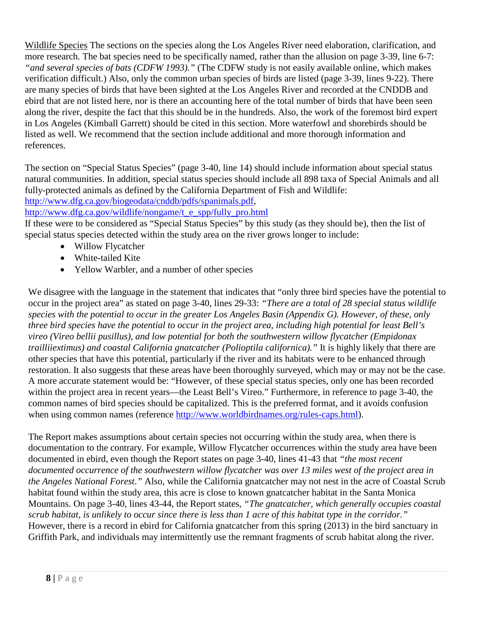Wildlife Species The sections on the species along the Los Angeles River need elaboration, clarification, and more research. The bat species need to be specifically named, rather than the allusion on page 3-39, line 6-7: *"and several species of bats (CDFW 1993)."* (The CDFW study is not easily available online, which makes verification difficult.) Also, only the common urban species of birds are listed (page 3-39, lines 9-22). There are many species of birds that have been sighted at the Los Angeles River and recorded at the CNDDB and ebird that are not listed here, nor is there an accounting here of the total number of birds that have been seen along the river, despite the fact that this should be in the hundreds. Also, the work of the foremost bird expert in Los Angeles (Kimball Garrett) should be cited in this section. More waterfowl and shorebirds should be listed as well. We recommend that the section include additional and more thorough information and references.

The section on "Special Status Species" (page 3-40, line 14) should include information about special status natural communities. In addition, special status species should include all 898 taxa of Special Animals and all fully-protected animals as defined by the California Department of Fish and Wildlife: [http://www.dfg.ca.gov/biogeodata/cnddb/pdfs/spanimals.pdf,](http://www.dfg.ca.gov/biogeodata/cnddb/pdfs/spanimals.pdf)

[http://www.dfg.ca.gov/wildlife/nongame/t\\_e\\_spp/fully\\_pro.html](http://www.dfg.ca.gov/wildlife/nongame/t_e_spp/fully_pro.html)

If these were to be considered as "Special Status Species" by this study (as they should be), then the list of special status species detected within the study area on the river grows longer to include:

- Willow Flycatcher
- White-tailed Kite
- Yellow Warbler, and a number of other species

We disagree with the language in the statement that indicates that "only three bird species have the potential to occur in the project area" as stated on page 3-40, lines 29-33: *"There are a total of 28 special status wildlife species with the potential to occur in the greater Los Angeles Basin (Appendix G). However, of these, only three bird species have the potential to occur in the project area, including high potential for least Bell's vireo (Vireo bellii pusillus), and low potential for both the southwestern willow flycatcher (Empidonax trailliiextimus) and coastal California gnatcatcher (Polioptila californica)."* It is highly likely that there are other species that have this potential, particularly if the river and its habitats were to be enhanced through restoration. It also suggests that these areas have been thoroughly surveyed, which may or may not be the case. A more accurate statement would be: "However, of these special status species, only one has been recorded within the project area in recent years—the Least Bell's Vireo." Furthermore, in reference to page 3-40, the common names of bird species should be capitalized. This is the preferred format, and it avoids confusion when using common names (reference [http://www.worldbirdnames.org/rules-caps.html\)](http://www.worldbirdnames.org/rules-caps.html).

The Report makes assumptions about certain species not occurring within the study area, when there is documentation to the contrary. For example, Willow Flycatcher occurrences within the study area have been documented in ebird, even though the Report states on page 3-40, lines 41-43 that *"the most recent documented occurrence of the southwestern willow flycatcher was over 13 miles west of the project area in the Angeles National Forest*.*"* Also, while the California gnatcatcher may not nest in the acre of Coastal Scrub habitat found within the study area, this acre is close to known gnatcatcher habitat in the Santa Monica Mountains. On page 3-40, lines 43-44, the Report states, *"The gnatcatcher, which generally occupies coastal scrub habitat, is unlikely to occur since there is less than 1 acre of this habitat type in the corridor."* However, there is a record in ebird for California gnatcatcher from this spring (2013) in the bird sanctuary in Griffith Park, and individuals may intermittently use the remnant fragments of scrub habitat along the river.